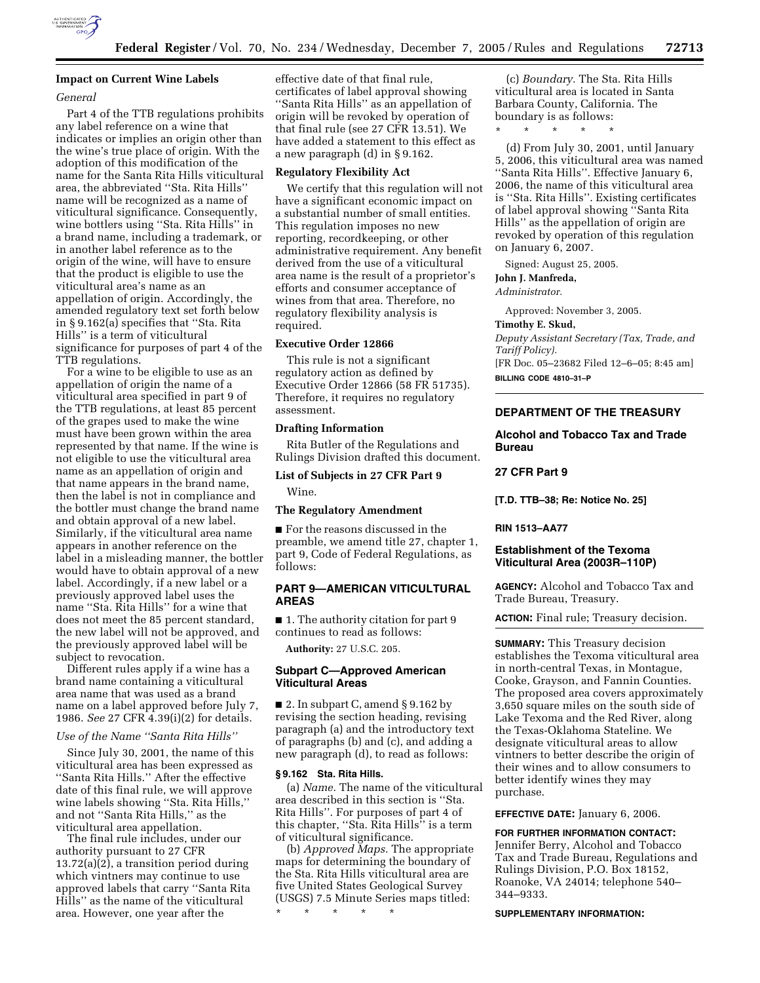

## **Impact on Current Wine Labels**

### *General*

Part 4 of the TTB regulations prohibits any label reference on a wine that indicates or implies an origin other than the wine's true place of origin. With the adoption of this modification of the name for the Santa Rita Hills viticultural area, the abbreviated ''Sta. Rita Hills'' name will be recognized as a name of viticultural significance. Consequently, wine bottlers using ''Sta. Rita Hills'' in a brand name, including a trademark, or in another label reference as to the origin of the wine, will have to ensure that the product is eligible to use the viticultural area's name as an appellation of origin. Accordingly, the amended regulatory text set forth below in § 9.162(a) specifies that ''Sta. Rita Hills'' is a term of viticultural significance for purposes of part 4 of the TTB regulations.

For a wine to be eligible to use as an appellation of origin the name of a viticultural area specified in part 9 of the TTB regulations, at least 85 percent of the grapes used to make the wine must have been grown within the area represented by that name. If the wine is not eligible to use the viticultural area name as an appellation of origin and that name appears in the brand name, then the label is not in compliance and the bottler must change the brand name and obtain approval of a new label. Similarly, if the viticultural area name appears in another reference on the label in a misleading manner, the bottler would have to obtain approval of a new label. Accordingly, if a new label or a previously approved label uses the name ''Sta. Rita Hills'' for a wine that does not meet the 85 percent standard, the new label will not be approved, and the previously approved label will be subject to revocation.

Different rules apply if a wine has a brand name containing a viticultural area name that was used as a brand name on a label approved before July 7, 1986. *See* 27 CFR 4.39(i)(2) for details.

*Use of the Name ''Santa Rita Hills''*

Since July 30, 2001, the name of this viticultural area has been expressed as ''Santa Rita Hills.'' After the effective date of this final rule, we will approve wine labels showing ''Sta. Rita Hills,'' and not ''Santa Rita Hills,'' as the viticultural area appellation.

The final rule includes, under our authority pursuant to 27 CFR 13.72(a)(2), a transition period during which vintners may continue to use approved labels that carry ''Santa Rita Hills'' as the name of the viticultural area. However, one year after the

effective date of that final rule, certificates of label approval showing ''Santa Rita Hills'' as an appellation of origin will be revoked by operation of that final rule (see 27 CFR 13.51). We have added a statement to this effect as a new paragraph (d) in § 9.162.

## **Regulatory Flexibility Act**

We certify that this regulation will not have a significant economic impact on a substantial number of small entities. This regulation imposes no new reporting, recordkeeping, or other administrative requirement. Any benefit derived from the use of a viticultural area name is the result of a proprietor's efforts and consumer acceptance of wines from that area. Therefore, no regulatory flexibility analysis is required.

## **Executive Order 12866**

This rule is not a significant regulatory action as defined by Executive Order 12866 (58 FR 51735). Therefore, it requires no regulatory assessment.

## **Drafting Information**

Rita Butler of the Regulations and Rulings Division drafted this document.

# **List of Subjects in 27 CFR Part 9**

Wine.

### **The Regulatory Amendment**

■ For the reasons discussed in the preamble, we amend title 27, chapter 1, part 9, Code of Federal Regulations, as follows:

## **PART 9—AMERICAN VITICULTURAL AREAS**

■ 1. The authority citation for part 9 continues to read as follows:

**Authority:** 27 U.S.C. 205.

### **Subpart C—Approved American Viticultural Areas**

■ 2. In subpart C, amend § 9.162 by revising the section heading, revising paragraph (a) and the introductory text of paragraphs (b) and (c), and adding a new paragraph (d), to read as follows:

#### **§ 9.162 Sta. Rita Hills.**

(a) *Name.* The name of the viticultural area described in this section is ''Sta. Rita Hills''. For purposes of part 4 of this chapter, ''Sta. Rita Hills'' is a term of viticultural significance.

(b) *Approved Maps.* The appropriate maps for determining the boundary of the Sta. Rita Hills viticultural area are five United States Geological Survey (USGS) 7.5 Minute Series maps titled:

\* \* \* \* \*

(c) *Boundary.* The Sta. Rita Hills viticultural area is located in Santa Barbara County, California. The boundary is as follows:

\* \* \* \* \*

(d) From July 30, 2001, until January 5, 2006, this viticultural area was named ''Santa Rita Hills''. Effective January 6, 2006, the name of this viticultural area is ''Sta. Rita Hills''. Existing certificates of label approval showing ''Santa Rita Hills'' as the appellation of origin are revoked by operation of this regulation on January 6, 2007.

Signed: August 25, 2005.

## **John J. Manfreda,**

*Administrator.* 

Approved: November 3, 2005.

## **Timothy E. Skud,**

*Deputy Assistant Secretary (Tax, Trade, and Tariff Policy).*  [FR Doc. 05–23682 Filed 12–6–05; 8:45 am] **BILLING CODE 4810–31–P** 

## **DEPARTMENT OF THE TREASURY**

## **Alcohol and Tobacco Tax and Trade Bureau**

## **27 CFR Part 9**

**[T.D. TTB–38; Re: Notice No. 25]** 

### **RIN 1513–AA77**

## **Establishment of the Texoma Viticultural Area (2003R–110P)**

**AGENCY:** Alcohol and Tobacco Tax and Trade Bureau, Treasury.

**ACTION:** Final rule; Treasury decision.

**SUMMARY:** This Treasury decision establishes the Texoma viticultural area in north-central Texas, in Montague, Cooke, Grayson, and Fannin Counties. The proposed area covers approximately 3,650 square miles on the south side of Lake Texoma and the Red River, along the Texas-Oklahoma Stateline. We designate viticultural areas to allow vintners to better describe the origin of their wines and to allow consumers to better identify wines they may purchase.

**EFFECTIVE DATE:** January 6, 2006.

#### **FOR FURTHER INFORMATION CONTACT:**

Jennifer Berry, Alcohol and Tobacco Tax and Trade Bureau, Regulations and Rulings Division, P.O. Box 18152, Roanoke, VA 24014; telephone 540– 344–9333.

#### **SUPPLEMENTARY INFORMATION:**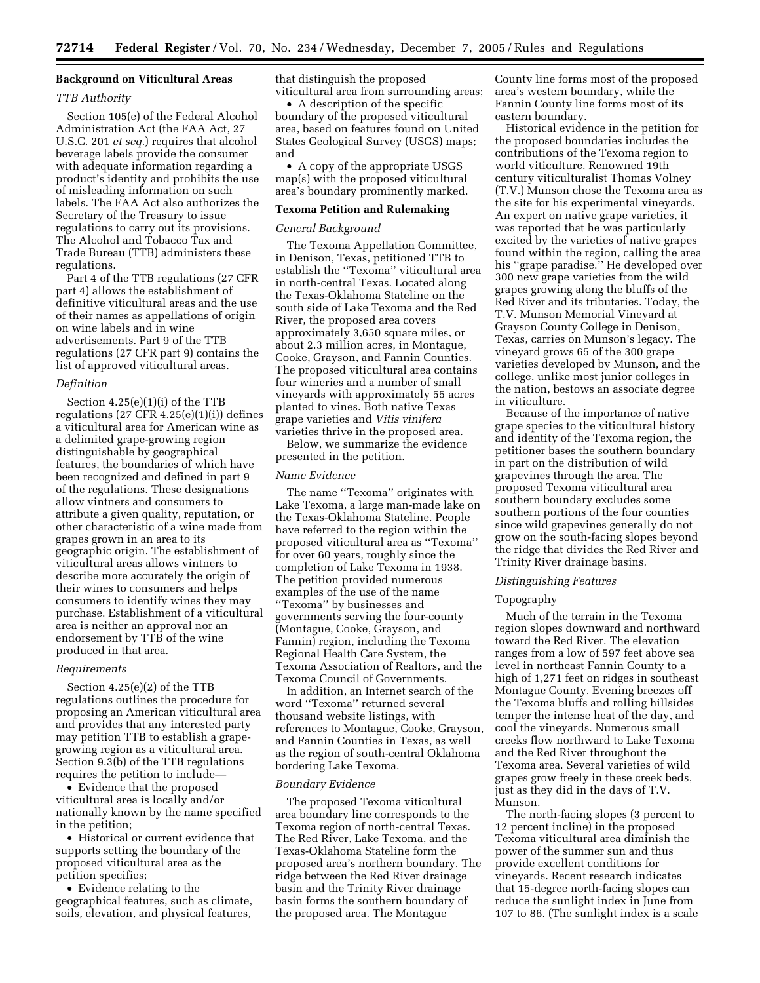## **Background on Viticultural Areas**

### *TTB Authority*

Section 105(e) of the Federal Alcohol Administration Act (the FAA Act, 27 U.S.C. 201 *et seq.*) requires that alcohol beverage labels provide the consumer with adequate information regarding a product's identity and prohibits the use of misleading information on such labels. The FAA Act also authorizes the Secretary of the Treasury to issue regulations to carry out its provisions. The Alcohol and Tobacco Tax and Trade Bureau (TTB) administers these regulations.

Part 4 of the TTB regulations (27 CFR part 4) allows the establishment of definitive viticultural areas and the use of their names as appellations of origin on wine labels and in wine advertisements. Part 9 of the TTB regulations (27 CFR part 9) contains the list of approved viticultural areas.

#### *Definition*

Section 4.25(e)(1)(i) of the TTB regulations (27 CFR 4.25(e)(1)(i)) defines a viticultural area for American wine as a delimited grape-growing region distinguishable by geographical features, the boundaries of which have been recognized and defined in part 9 of the regulations. These designations allow vintners and consumers to attribute a given quality, reputation, or other characteristic of a wine made from grapes grown in an area to its geographic origin. The establishment of viticultural areas allows vintners to describe more accurately the origin of their wines to consumers and helps consumers to identify wines they may purchase. Establishment of a viticultural area is neither an approval nor an endorsement by TTB of the wine produced in that area.

#### *Requirements*

Section 4.25(e)(2) of the TTB regulations outlines the procedure for proposing an American viticultural area and provides that any interested party may petition TTB to establish a grapegrowing region as a viticultural area. Section 9.3(b) of the TTB regulations requires the petition to include—

• Evidence that the proposed viticultural area is locally and/or nationally known by the name specified in the petition;

• Historical or current evidence that supports setting the boundary of the proposed viticultural area as the petition specifies;

• Evidence relating to the geographical features, such as climate, soils, elevation, and physical features,

that distinguish the proposed viticultural area from surrounding areas;

• A description of the specific boundary of the proposed viticultural area, based on features found on United States Geological Survey (USGS) maps; and

• A copy of the appropriate USGS map(s) with the proposed viticultural area's boundary prominently marked.

## **Texoma Petition and Rulemaking**

#### *General Background*

The Texoma Appellation Committee, in Denison, Texas, petitioned TTB to establish the ''Texoma'' viticultural area in north-central Texas. Located along the Texas-Oklahoma Stateline on the south side of Lake Texoma and the Red River, the proposed area covers approximately 3,650 square miles, or about 2.3 million acres, in Montague, Cooke, Grayson, and Fannin Counties. The proposed viticultural area contains four wineries and a number of small vineyards with approximately 55 acres planted to vines. Both native Texas grape varieties and *Vitis vinifera*  varieties thrive in the proposed area.

Below, we summarize the evidence presented in the petition.

### *Name Evidence*

The name ''Texoma'' originates with Lake Texoma, a large man-made lake on the Texas-Oklahoma Stateline. People have referred to the region within the proposed viticultural area as ''Texoma'' for over 60 years, roughly since the completion of Lake Texoma in 1938. The petition provided numerous examples of the use of the name ''Texoma'' by businesses and governments serving the four-county (Montague, Cooke, Grayson, and Fannin) region, including the Texoma Regional Health Care System, the Texoma Association of Realtors, and the Texoma Council of Governments.

In addition, an Internet search of the word ''Texoma'' returned several thousand website listings, with references to Montague, Cooke, Grayson, and Fannin Counties in Texas, as well as the region of south-central Oklahoma bordering Lake Texoma.

#### *Boundary Evidence*

The proposed Texoma viticultural area boundary line corresponds to the Texoma region of north-central Texas. The Red River, Lake Texoma, and the Texas-Oklahoma Stateline form the proposed area's northern boundary. The ridge between the Red River drainage basin and the Trinity River drainage basin forms the southern boundary of the proposed area. The Montague

County line forms most of the proposed area's western boundary, while the Fannin County line forms most of its eastern boundary.

Historical evidence in the petition for the proposed boundaries includes the contributions of the Texoma region to world viticulture. Renowned 19th century viticulturalist Thomas Volney (T.V.) Munson chose the Texoma area as the site for his experimental vineyards. An expert on native grape varieties, it was reported that he was particularly excited by the varieties of native grapes found within the region, calling the area his ''grape paradise.'' He developed over 300 new grape varieties from the wild grapes growing along the bluffs of the Red River and its tributaries. Today, the T.V. Munson Memorial Vineyard at Grayson County College in Denison, Texas, carries on Munson's legacy. The vineyard grows 65 of the 300 grape varieties developed by Munson, and the college, unlike most junior colleges in the nation, bestows an associate degree in viticulture.

Because of the importance of native grape species to the viticultural history and identity of the Texoma region, the petitioner bases the southern boundary in part on the distribution of wild grapevines through the area. The proposed Texoma viticultural area southern boundary excludes some southern portions of the four counties since wild grapevines generally do not grow on the south-facing slopes beyond the ridge that divides the Red River and Trinity River drainage basins.

### *Distinguishing Features*

### Topography

Much of the terrain in the Texoma region slopes downward and northward toward the Red River. The elevation ranges from a low of 597 feet above sea level in northeast Fannin County to a high of 1,271 feet on ridges in southeast Montague County. Evening breezes off the Texoma bluffs and rolling hillsides temper the intense heat of the day, and cool the vineyards. Numerous small creeks flow northward to Lake Texoma and the Red River throughout the Texoma area. Several varieties of wild grapes grow freely in these creek beds, just as they did in the days of T.V. Munson.

The north-facing slopes (3 percent to 12 percent incline) in the proposed Texoma viticultural area diminish the power of the summer sun and thus provide excellent conditions for vineyards. Recent research indicates that 15-degree north-facing slopes can reduce the sunlight index in June from 107 to 86. (The sunlight index is a scale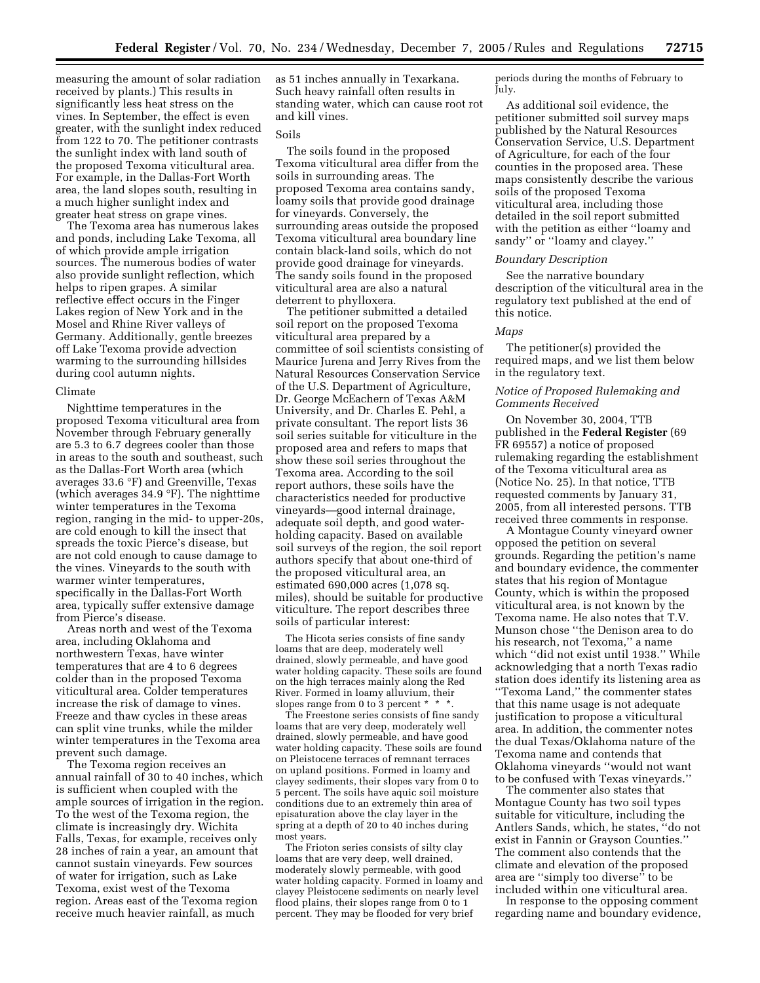measuring the amount of solar radiation received by plants.) This results in significantly less heat stress on the vines. In September, the effect is even greater, with the sunlight index reduced from 122 to 70. The petitioner contrasts the sunlight index with land south of the proposed Texoma viticultural area. For example, in the Dallas-Fort Worth area, the land slopes south, resulting in a much higher sunlight index and greater heat stress on grape vines.

The Texoma area has numerous lakes and ponds, including Lake Texoma, all of which provide ample irrigation sources. The numerous bodies of water also provide sunlight reflection, which helps to ripen grapes. A similar reflective effect occurs in the Finger Lakes region of New York and in the Mosel and Rhine River valleys of Germany. Additionally, gentle breezes off Lake Texoma provide advection warming to the surrounding hillsides during cool autumn nights.

#### Climate

Nighttime temperatures in the proposed Texoma viticultural area from November through February generally are 5.3 to 6.7 degrees cooler than those in areas to the south and southeast, such as the Dallas-Fort Worth area (which averages 33.6 °F) and Greenville, Texas (which averages 34.9 °F). The nighttime winter temperatures in the Texoma region, ranging in the mid- to upper-20s, are cold enough to kill the insect that spreads the toxic Pierce's disease, but are not cold enough to cause damage to the vines. Vineyards to the south with warmer winter temperatures, specifically in the Dallas-Fort Worth area, typically suffer extensive damage from Pierce's disease.

Areas north and west of the Texoma area, including Oklahoma and northwestern Texas, have winter temperatures that are 4 to 6 degrees colder than in the proposed Texoma viticultural area. Colder temperatures increase the risk of damage to vines. Freeze and thaw cycles in these areas can split vine trunks, while the milder winter temperatures in the Texoma area prevent such damage.

The Texoma region receives an annual rainfall of 30 to 40 inches, which is sufficient when coupled with the ample sources of irrigation in the region. To the west of the Texoma region, the climate is increasingly dry. Wichita Falls, Texas, for example, receives only 28 inches of rain a year, an amount that cannot sustain vineyards. Few sources of water for irrigation, such as Lake Texoma, exist west of the Texoma region. Areas east of the Texoma region receive much heavier rainfall, as much

as 51 inches annually in Texarkana. Such heavy rainfall often results in standing water, which can cause root rot and kill vines.

#### Soils

The soils found in the proposed Texoma viticultural area differ from the soils in surrounding areas. The proposed Texoma area contains sandy, loamy soils that provide good drainage for vineyards. Conversely, the surrounding areas outside the proposed Texoma viticultural area boundary line contain black-land soils, which do not provide good drainage for vineyards. The sandy soils found in the proposed viticultural area are also a natural deterrent to phylloxera.

The petitioner submitted a detailed soil report on the proposed Texoma viticultural area prepared by a committee of soil scientists consisting of Maurice Jurena and Jerry Rives from the Natural Resources Conservation Service of the U.S. Department of Agriculture, Dr. George McEachern of Texas A&M University, and Dr. Charles E. Pehl, a private consultant. The report lists 36 soil series suitable for viticulture in the proposed area and refers to maps that show these soil series throughout the Texoma area. According to the soil report authors, these soils have the characteristics needed for productive vineyards—good internal drainage, adequate soil depth, and good waterholding capacity. Based on available soil surveys of the region, the soil report authors specify that about one-third of the proposed viticultural area, an estimated 690,000 acres (1,078 sq. miles), should be suitable for productive viticulture. The report describes three soils of particular interest:

The Hicota series consists of fine sandy loams that are deep, moderately well drained, slowly permeable, and have good water holding capacity. These soils are found on the high terraces mainly along the Red River. Formed in loamy alluvium, their slopes range from 0 to 3 percent \* \* \*.

The Freestone series consists of fine sandy loams that are very deep, moderately well drained, slowly permeable, and have good water holding capacity. These soils are found on Pleistocene terraces of remnant terraces on upland positions. Formed in loamy and clayey sediments, their slopes vary from 0 to 5 percent. The soils have aquic soil moisture conditions due to an extremely thin area of episaturation above the clay layer in the spring at a depth of 20 to 40 inches during most years.

The Frioton series consists of silty clay loams that are very deep, well drained, moderately slowly permeable, with good water holding capacity. Formed in loamy and clayey Pleistocene sediments on nearly level flood plains, their slopes range from 0 to 1 percent. They may be flooded for very brief

periods during the months of February to July.

As additional soil evidence, the petitioner submitted soil survey maps published by the Natural Resources Conservation Service, U.S. Department of Agriculture, for each of the four counties in the proposed area. These maps consistently describe the various soils of the proposed Texoma viticultural area, including those detailed in the soil report submitted with the petition as either ''loamy and sandy" or "loamy and clayey."

## *Boundary Description*

See the narrative boundary description of the viticultural area in the regulatory text published at the end of this notice.

#### *Maps*

The petitioner(s) provided the required maps, and we list them below in the regulatory text.

## *Notice of Proposed Rulemaking and Comments Received*

On November 30, 2004, TTB published in the **Federal Register** (69 FR 69557) a notice of proposed rulemaking regarding the establishment of the Texoma viticultural area as (Notice No. 25). In that notice, TTB requested comments by January 31, 2005, from all interested persons. TTB received three comments in response.

A Montague County vineyard owner opposed the petition on several grounds. Regarding the petition's name and boundary evidence, the commenter states that his region of Montague County, which is within the proposed viticultural area, is not known by the Texoma name. He also notes that T.V. Munson chose ''the Denison area to do his research, not Texoma,'' a name which ''did not exist until 1938.'' While acknowledging that a north Texas radio station does identify its listening area as ''Texoma Land,'' the commenter states that this name usage is not adequate justification to propose a viticultural area. In addition, the commenter notes the dual Texas/Oklahoma nature of the Texoma name and contends that Oklahoma vineyards ''would not want to be confused with Texas vineyards.''

The commenter also states that Montague County has two soil types suitable for viticulture, including the Antlers Sands, which, he states, ''do not exist in Fannin or Grayson Counties.'' The comment also contends that the climate and elevation of the proposed area are ''simply too diverse'' to be included within one viticultural area.

In response to the opposing comment regarding name and boundary evidence,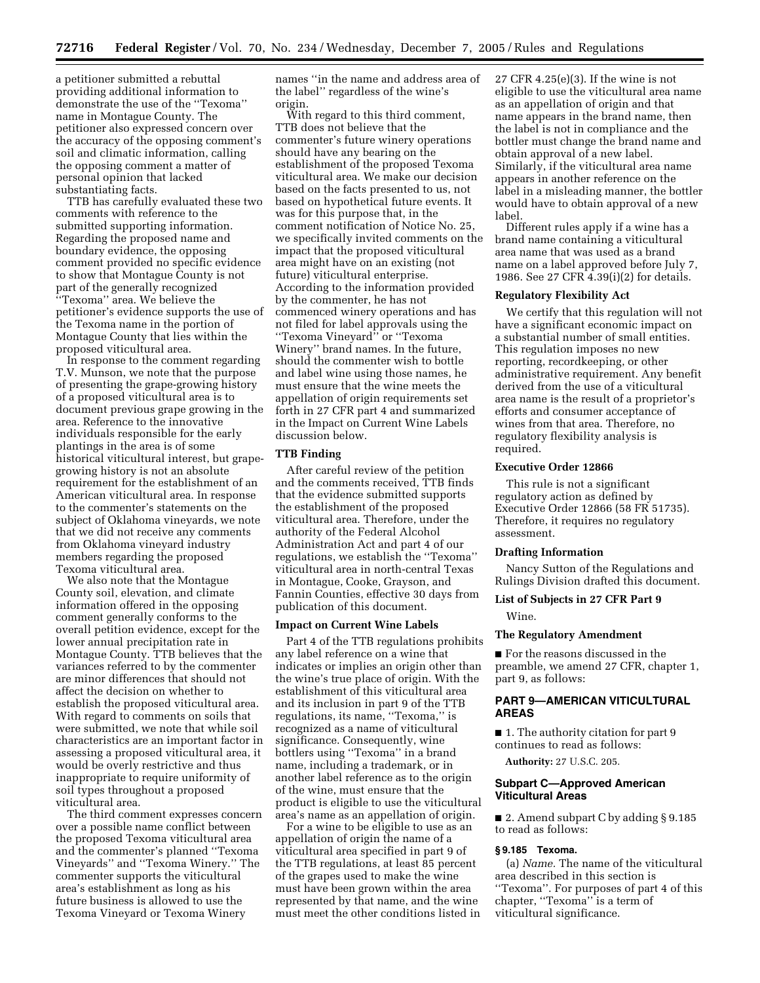a petitioner submitted a rebuttal providing additional information to demonstrate the use of the ''Texoma'' name in Montague County. The petitioner also expressed concern over the accuracy of the opposing comment's soil and climatic information, calling the opposing comment a matter of personal opinion that lacked substantiating facts.

TTB has carefully evaluated these two comments with reference to the submitted supporting information. Regarding the proposed name and boundary evidence, the opposing comment provided no specific evidence to show that Montague County is not part of the generally recognized ''Texoma'' area. We believe the petitioner's evidence supports the use of the Texoma name in the portion of Montague County that lies within the proposed viticultural area.

In response to the comment regarding T.V. Munson, we note that the purpose of presenting the grape-growing history of a proposed viticultural area is to document previous grape growing in the area. Reference to the innovative individuals responsible for the early plantings in the area is of some historical viticultural interest, but grapegrowing history is not an absolute requirement for the establishment of an American viticultural area. In response to the commenter's statements on the subject of Oklahoma vineyards, we note that we did not receive any comments from Oklahoma vineyard industry members regarding the proposed Texoma viticultural area.

We also note that the Montague County soil, elevation, and climate information offered in the opposing comment generally conforms to the overall petition evidence, except for the lower annual precipitation rate in Montague County. TTB believes that the variances referred to by the commenter are minor differences that should not affect the decision on whether to establish the proposed viticultural area. With regard to comments on soils that were submitted, we note that while soil characteristics are an important factor in assessing a proposed viticultural area, it would be overly restrictive and thus inappropriate to require uniformity of soil types throughout a proposed viticultural area.

The third comment expresses concern over a possible name conflict between the proposed Texoma viticultural area and the commenter's planned ''Texoma Vineyards'' and ''Texoma Winery.'' The commenter supports the viticultural area's establishment as long as his future business is allowed to use the Texoma Vineyard or Texoma Winery

names ''in the name and address area of the label'' regardless of the wine's origin.

With regard to this third comment, TTB does not believe that the commenter's future winery operations should have any bearing on the establishment of the proposed Texoma viticultural area. We make our decision based on the facts presented to us, not based on hypothetical future events. It was for this purpose that, in the comment notification of Notice No. 25, we specifically invited comments on the impact that the proposed viticultural area might have on an existing (not future) viticultural enterprise. According to the information provided by the commenter, he has not commenced winery operations and has not filed for label approvals using the ''Texoma Vineyard'' or ''Texoma Winery'' brand names. In the future, should the commenter wish to bottle and label wine using those names, he must ensure that the wine meets the appellation of origin requirements set forth in 27 CFR part 4 and summarized in the Impact on Current Wine Labels discussion below.

### **TTB Finding**

After careful review of the petition and the comments received, TTB finds that the evidence submitted supports the establishment of the proposed viticultural area. Therefore, under the authority of the Federal Alcohol Administration Act and part 4 of our regulations, we establish the ''Texoma'' viticultural area in north-central Texas in Montague, Cooke, Grayson, and Fannin Counties, effective 30 days from publication of this document.

#### **Impact on Current Wine Labels**

Part 4 of the TTB regulations prohibits any label reference on a wine that indicates or implies an origin other than the wine's true place of origin. With the establishment of this viticultural area and its inclusion in part 9 of the TTB regulations, its name, ''Texoma,'' is recognized as a name of viticultural significance. Consequently, wine bottlers using ''Texoma'' in a brand name, including a trademark, or in another label reference as to the origin of the wine, must ensure that the product is eligible to use the viticultural area's name as an appellation of origin.

For a wine to be eligible to use as an appellation of origin the name of a viticultural area specified in part 9 of the TTB regulations, at least 85 percent of the grapes used to make the wine must have been grown within the area represented by that name, and the wine must meet the other conditions listed in 27 CFR 4.25(e)(3). If the wine is not eligible to use the viticultural area name as an appellation of origin and that name appears in the brand name, then the label is not in compliance and the bottler must change the brand name and obtain approval of a new label. Similarly, if the viticultural area name appears in another reference on the label in a misleading manner, the bottler would have to obtain approval of a new label.

Different rules apply if a wine has a brand name containing a viticultural area name that was used as a brand name on a label approved before July 7, 1986. See 27 CFR 4.39(i)(2) for details.

#### **Regulatory Flexibility Act**

We certify that this regulation will not have a significant economic impact on a substantial number of small entities. This regulation imposes no new reporting, recordkeeping, or other administrative requirement. Any benefit derived from the use of a viticultural area name is the result of a proprietor's efforts and consumer acceptance of wines from that area. Therefore, no regulatory flexibility analysis is required.

#### **Executive Order 12866**

This rule is not a significant regulatory action as defined by Executive Order 12866 (58 FR 51735). Therefore, it requires no regulatory assessment.

#### **Drafting Information**

Nancy Sutton of the Regulations and Rulings Division drafted this document.

# **List of Subjects in 27 CFR Part 9**

Wine.

### **The Regulatory Amendment**

■ For the reasons discussed in the preamble, we amend 27 CFR, chapter 1, part 9, as follows:

## **PART 9—AMERICAN VITICULTURAL AREAS**

■ 1. The authority citation for part 9 continues to read as follows:

**Authority:** 27 U.S.C. 205.

### **Subpart C—Approved American Viticultural Areas**

■ 2. Amend subpart C by adding § 9.185 to read as follows:

## **§ 9.185 Texoma.**

(a) *Name.* The name of the viticultural area described in this section is ''Texoma''. For purposes of part 4 of this chapter, ''Texoma'' is a term of viticultural significance.